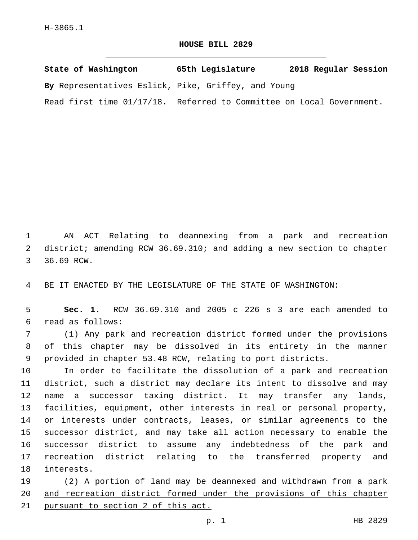## **HOUSE BILL 2829**

**State of Washington 65th Legislature 2018 Regular Session By** Representatives Eslick, Pike, Griffey, and Young Read first time 01/17/18. Referred to Committee on Local Government.

1 AN ACT Relating to deannexing from a park and recreation 2 district; amending RCW 36.69.310; and adding a new section to chapter 3 36.69 RCW.

4 BE IT ENACTED BY THE LEGISLATURE OF THE STATE OF WASHINGTON:

5 **Sec. 1.** RCW 36.69.310 and 2005 c 226 s 3 are each amended to read as follows:6

7 (1) Any park and recreation district formed under the provisions 8 of this chapter may be dissolved in its entirety in the manner 9 provided in chapter 53.48 RCW, relating to port districts.

 In order to facilitate the dissolution of a park and recreation district, such a district may declare its intent to dissolve and may name a successor taxing district. It may transfer any lands, facilities, equipment, other interests in real or personal property, or interests under contracts, leases, or similar agreements to the successor district, and may take all action necessary to enable the successor district to assume any indebtedness of the park and recreation district relating to the transferred property and 18 interests.

19 (2) A portion of land may be deannexed and withdrawn from a park 20 and recreation district formed under the provisions of this chapter 21 pursuant to section 2 of this act.